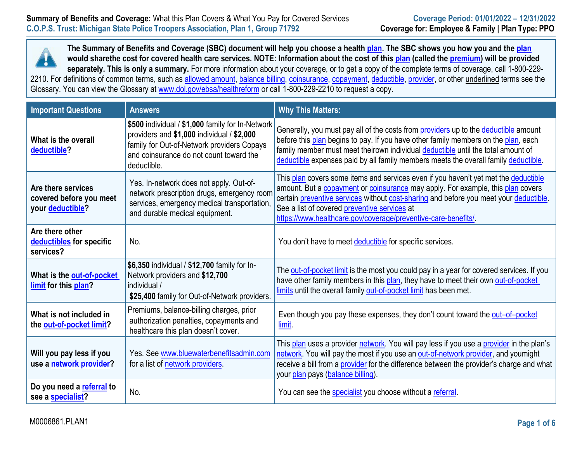

**The Summary of Benefits and Coverage (SBC) document will help you choose a health plan. The SBC shows you how you and the plan would sharethe cost for covered health care services. NOTE: Information about the cost of this plan (called the premium) will be provided separately. This is only a summary.** For more information about your coverage, or to get a copy of the complete terms of coverage, call 1-800-229- 2210. For definitions of common terms, such as <u>allowed amount, balance billing, coinsurance, copayment, deductible, provider</u>, or other <u>underlined</u> terms see the Glossary. You can view the Glossary at [www.dol.gov/ebsa/healthreform](http://www.dol.gov/ebsa/healthreform) or call 1-800-229-2210 to request a copy.

| <b>Important Questions</b>                                        | <b>Answers</b>                                                                                                                                                                                         | <b>Why This Matters:</b>                                                                                                                                                                                                                                                                                                                                                                       |  |
|-------------------------------------------------------------------|--------------------------------------------------------------------------------------------------------------------------------------------------------------------------------------------------------|------------------------------------------------------------------------------------------------------------------------------------------------------------------------------------------------------------------------------------------------------------------------------------------------------------------------------------------------------------------------------------------------|--|
| What is the overall<br>deductible?                                | \$500 individual / \$1,000 family for In-Network<br>providers and \$1,000 individual / \$2,000<br>family for Out-of-Network providers Copays<br>and coinsurance do not count toward the<br>deductible. | Generally, you must pay all of the costs from providers up to the deductible amount<br>before this plan begins to pay. If you have other family members on the plan, each<br>family member must meet theirown individual deductible until the total amount of<br>deductible expenses paid by all family members meets the overall family deductible.                                           |  |
| Are there services<br>covered before you meet<br>your deductible? | Yes. In-network does not apply. Out-of-<br>network prescription drugs, emergency room<br>services, emergency medical transportation,<br>and durable medical equipment.                                 | This plan covers some items and services even if you haven't yet met the deductible<br>amount. But a <b>copayment</b> or <b>coinsurance</b> may apply. For example, this plan covers<br>certain preventive services without cost-sharing and before you meet your deductible.<br>See a list of covered preventive services at<br>https://www.healthcare.gov/coverage/preventive-care-benefits/ |  |
| Are there other<br>deductibles for specific<br>services?          | No.                                                                                                                                                                                                    | You don't have to meet deductible for specific services.                                                                                                                                                                                                                                                                                                                                       |  |
| What is the out-of-pocket<br>limit for this plan?                 | \$6,350 individual / \$12,700 family for In-<br>Network providers and \$12,700<br>individual /<br>\$25,400 family for Out-of-Network providers.                                                        | The out-of-pocket limit is the most you could pay in a year for covered services. If you<br>have other family members in this plan, they have to meet their own out-of-pocket<br>limits until the overall family out-of-pocket limit has been met.                                                                                                                                             |  |
| What is not included in<br>the out-of-pocket limit?               | Premiums, balance-billing charges, prior<br>authorization penalties, copayments and<br>healthcare this plan doesn't cover.                                                                             | Even though you pay these expenses, they don't count toward the out-of-pocket<br>limit.                                                                                                                                                                                                                                                                                                        |  |
| Will you pay less if you<br>use a network provider?               | Yes. See www.bluewaterbenefitsadmin.com<br>for a list of network providers.                                                                                                                            | This plan uses a provider network. You will pay less if you use a provider in the plan's<br>network. You will pay the most if you use an out-of-network provider, and youmight<br>receive a bill from a provider for the difference between the provider's charge and what<br>your plan pays (balance billing).                                                                                |  |
| Do you need a referral to<br>see a specialist?                    | No.                                                                                                                                                                                                    | You can see the specialist you choose without a referral.                                                                                                                                                                                                                                                                                                                                      |  |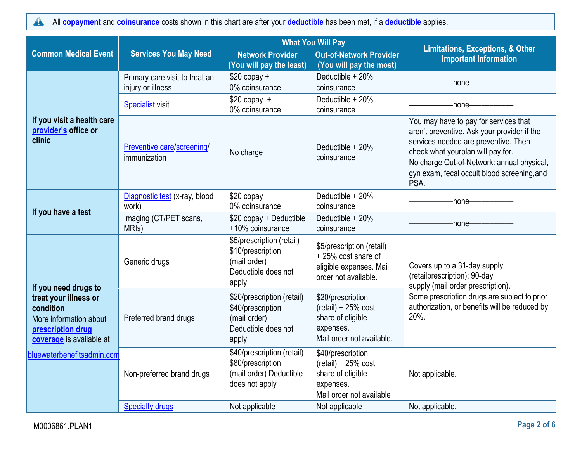All **[copayment](https://www.healthcare.gov/sbc-glossary/#copayment)** and **[coinsurance](https://www.healthcare.gov/sbc-glossary/#coinsurance)** costs shown in this chart are after your **[deductible](https://www.healthcare.gov/sbc-glossary/#deductible)** has been met, if a **[deductible](https://www.healthcare.gov/sbc-glossary/#deductible)** applies.  $\blacktriangle$ 

|                                                                                                               |                                                     |                                                                                                 | <b>What You Will Pay</b>                                                                                  |                                                                                                                                                                                                                                                                        |
|---------------------------------------------------------------------------------------------------------------|-----------------------------------------------------|-------------------------------------------------------------------------------------------------|-----------------------------------------------------------------------------------------------------------|------------------------------------------------------------------------------------------------------------------------------------------------------------------------------------------------------------------------------------------------------------------------|
| <b>Common Medical Event</b>                                                                                   | <b>Services You May Need</b>                        | <b>Network Provider</b><br>(You will pay the least)                                             | <b>Out-of-Network Provider</b><br>(You will pay the most)                                                 | <b>Limitations, Exceptions, &amp; Other</b><br><b>Important Information</b>                                                                                                                                                                                            |
|                                                                                                               | Primary care visit to treat an<br>injury or illness | $$20$ copay +<br>0% coinsurance                                                                 | Deductible + 20%<br>coinsurance                                                                           | -none-                                                                                                                                                                                                                                                                 |
| <b>Specialist visit</b>                                                                                       |                                                     | $$20$ copay +<br>0% coinsurance                                                                 | Deductible + 20%<br>coinsurance                                                                           | -none-                                                                                                                                                                                                                                                                 |
| If you visit a health care<br>provider's office or<br>clinic                                                  | Preventive care/screening/<br>immunization          | No charge                                                                                       | Deductible + 20%<br>coinsurance                                                                           | You may have to pay for services that<br>aren't preventive. Ask your provider if the<br>services needed are preventive. Then<br>check what yourplan will pay for.<br>No charge Out-of-Network: annual physical,<br>gyn exam, fecal occult blood screening, and<br>PSA. |
|                                                                                                               | Diagnostic test (x-ray, blood<br>work)              | $$20$ copay +<br>0% coinsurance                                                                 | Deductible + 20%<br>coinsurance                                                                           | -none--------                                                                                                                                                                                                                                                          |
| If you have a test                                                                                            | Imaging (CT/PET scans,<br>MRI <sub>s</sub> )        | \$20 copay + Deductible<br>+10% coinsurance                                                     | Deductible + 20%<br>coinsurance                                                                           | -none-                                                                                                                                                                                                                                                                 |
| If you need drugs to                                                                                          | Generic drugs                                       | \$5/prescription (retail)<br>\$10/prescription<br>(mail order)<br>Deductible does not<br>apply  | \$5/prescription (retail)<br>+25% cost share of<br>eligible expenses. Mail<br>order not available.        | Covers up to a 31-day supply<br>(retailprescription); 90-day<br>supply (mail order prescription).                                                                                                                                                                      |
| treat your illness or<br>condition<br>More information about<br>prescription drug<br>coverage is available at | Preferred brand drugs                               | \$20/prescription (retail)<br>\$40/prescription<br>(mail order)<br>Deductible does not<br>apply | \$20/prescription<br>$(retail) + 25% cost$<br>share of eligible<br>expenses.<br>Mail order not available. | Some prescription drugs are subject to prior<br>authorization, or benefits will be reduced by<br>20%.                                                                                                                                                                  |
| bluewaterbenefitsadmin.com                                                                                    | Non-preferred brand drugs                           | \$40/prescription (retail)<br>\$80/prescription<br>(mail order) Deductible<br>does not apply    | \$40/prescription<br>$(retail) + 25% cost$<br>share of eligible<br>expenses.<br>Mail order not available  | Not applicable.                                                                                                                                                                                                                                                        |
|                                                                                                               | <b>Specialty drugs</b>                              | Not applicable                                                                                  | Not applicable                                                                                            | Not applicable.                                                                                                                                                                                                                                                        |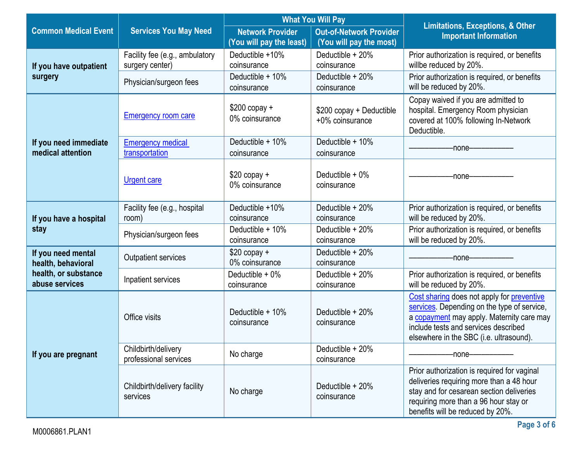|                                                                                                                                                                |                                                   | <b>What You Will Pay</b>                                                                       |                                                           | <b>Limitations, Exceptions, &amp; Other</b>                                                                                                                                                                               |  |
|----------------------------------------------------------------------------------------------------------------------------------------------------------------|---------------------------------------------------|------------------------------------------------------------------------------------------------|-----------------------------------------------------------|---------------------------------------------------------------------------------------------------------------------------------------------------------------------------------------------------------------------------|--|
| <b>Common Medical Event</b>                                                                                                                                    | <b>Services You May Need</b>                      | <b>Network Provider</b><br>(You will pay the least)                                            | <b>Out-of-Network Provider</b><br>(You will pay the most) | <b>Important Information</b>                                                                                                                                                                                              |  |
| If you have outpatient                                                                                                                                         | Facility fee (e.g., ambulatory<br>surgery center) | Deductible +10%<br>coinsurance                                                                 | Deductible $+20\%$<br>coinsurance                         | Prior authorization is required, or benefits<br>willbe reduced by 20%.                                                                                                                                                    |  |
| surgery                                                                                                                                                        | Physician/surgeon fees                            | Deductible + 10%<br>coinsurance                                                                | Deductible + 20%<br>coinsurance                           | Prior authorization is required, or benefits<br>will be reduced by 20%.                                                                                                                                                   |  |
|                                                                                                                                                                | <b>Emergency room care</b>                        | $$200$ copay +<br>\$200 copay + Deductible<br>0% coinsurance<br>+0% coinsurance<br>Deductible. |                                                           | Copay waived if you are admitted to<br>hospital. Emergency Room physician<br>covered at 100% following In-Network                                                                                                         |  |
| Deductible + 10%<br>Deductible + 10%<br>If you need immediate<br><b>Emergency medical</b><br>medical attention<br>transportation<br>coinsurance<br>coinsurance |                                                   | -none-----                                                                                     |                                                           |                                                                                                                                                                                                                           |  |
|                                                                                                                                                                | <b>Urgent care</b>                                | $$20$ copay +<br>0% coinsurance                                                                | Deductible $+0\%$<br>coinsurance                          | -none-                                                                                                                                                                                                                    |  |
| If you have a hospital                                                                                                                                         | Facility fee (e.g., hospital<br>room)             | Deductible +10%<br>coinsurance                                                                 | Deductible + 20%<br>coinsurance                           | Prior authorization is required, or benefits<br>will be reduced by 20%.                                                                                                                                                   |  |
| stay                                                                                                                                                           | Physician/surgeon fees                            | Deductible + 10%<br>coinsurance                                                                | Deductible + 20%<br>coinsurance                           | Prior authorization is required, or benefits<br>will be reduced by 20%.                                                                                                                                                   |  |
| If you need mental<br>health, behavioral                                                                                                                       | Outpatient services                               | $$20$ copay +<br>0% coinsurance                                                                | Deductible + 20%<br>coinsurance                           | -none-                                                                                                                                                                                                                    |  |
| health, or substance<br>abuse services                                                                                                                         | Inpatient services                                | Deductible + 0%<br>coinsurance                                                                 | Deductible + 20%<br>coinsurance                           | Prior authorization is required, or benefits<br>will be reduced by 20%.                                                                                                                                                   |  |
|                                                                                                                                                                | Office visits                                     | Deductible + 10%<br>coinsurance                                                                | Deductible $+20%$<br>coinsurance                          | Cost sharing does not apply for preventive<br>services. Depending on the type of service,<br>a copayment may apply. Maternity care may<br>include tests and services described<br>elsewhere in the SBC (i.e. ultrasound). |  |
| If you are pregnant                                                                                                                                            | Childbirth/delivery<br>professional services      | No charge                                                                                      | Deductible + 20%<br>coinsurance                           | -none-                                                                                                                                                                                                                    |  |
|                                                                                                                                                                | Childbirth/delivery facility<br>services          | No charge                                                                                      | Deductible + 20%<br>coinsurance                           | Prior authorization is required for vaginal<br>deliveries requiring more than a 48 hour<br>stay and for cesarean section deliveries<br>requiring more than a 96 hour stay or<br>benefits will be reduced by 20%.          |  |

L.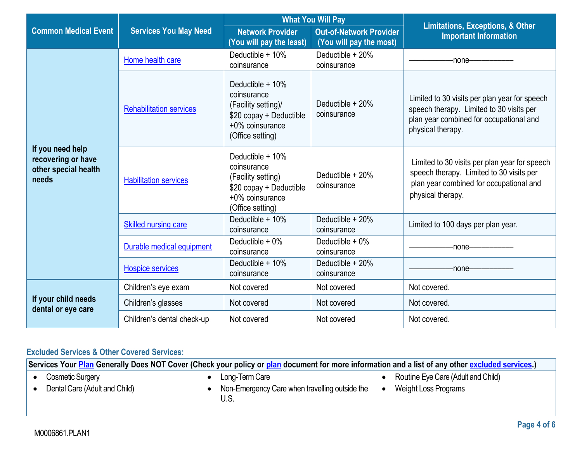|                                                                         |                                |                                                                                                                                                                 | <b>What You Will Pay</b>                                  |                                                                                                                                                           |
|-------------------------------------------------------------------------|--------------------------------|-----------------------------------------------------------------------------------------------------------------------------------------------------------------|-----------------------------------------------------------|-----------------------------------------------------------------------------------------------------------------------------------------------------------|
| <b>Common Medical Event</b>                                             | <b>Services You May Need</b>   | <b>Network Provider</b><br>(You will pay the least)                                                                                                             | <b>Out-of-Network Provider</b><br>(You will pay the most) | <b>Limitations, Exceptions, &amp; Other</b><br><b>Important Information</b>                                                                               |
|                                                                         | Home health care               | Deductible $+10\%$<br>coinsurance                                                                                                                               | Deductible + 20%<br>coinsurance                           | -none-                                                                                                                                                    |
|                                                                         | <b>Rehabilitation services</b> | Deductible $+10\%$<br>coinsurance<br>Deductible $+20\%$<br>(Facility setting)/<br>coinsurance<br>\$20 copay + Deductible<br>+0% coinsurance<br>(Office setting) |                                                           | Limited to 30 visits per plan year for speech<br>speech therapy. Limited to 30 visits per<br>plan year combined for occupational and<br>physical therapy. |
| If you need help<br>recovering or have<br>other special health<br>needs | <b>Habilitation services</b>   | Deductible $+10\%$<br>coinsurance<br>(Facility setting)<br>\$20 copay + Deductible<br>+0% coinsurance<br>(Office setting)                                       | Deductible $+20\%$<br>coinsurance                         | Limited to 30 visits per plan year for speech<br>speech therapy. Limited to 30 visits per<br>plan year combined for occupational and<br>physical therapy. |
|                                                                         | <b>Skilled nursing care</b>    | Deductible $+10\%$<br>coinsurance                                                                                                                               | Deductible $+20\%$<br>coinsurance                         | Limited to 100 days per plan year.                                                                                                                        |
|                                                                         | Durable medical equipment      | Deductible $+0\%$<br>coinsurance                                                                                                                                | Deductible $+0\%$<br>coinsurance                          | -none-                                                                                                                                                    |
|                                                                         | <b>Hospice services</b>        | Deductible + 10%<br>coinsurance                                                                                                                                 | Deductible + 20%<br>coinsurance                           | -none-                                                                                                                                                    |
|                                                                         | Children's eye exam            | Not covered                                                                                                                                                     | Not covered                                               | Not covered.                                                                                                                                              |
| If your child needs<br>dental or eye care                               | Children's glasses             | Not covered                                                                                                                                                     | Not covered                                               | Not covered.                                                                                                                                              |
|                                                                         | Children's dental check-up     | Not covered                                                                                                                                                     | Not covered                                               | Not covered.                                                                                                                                              |

# **Excluded Services & Other Covered Services:**

**Services Your [Plan](https://www.healthcare.gov/sbc-glossary/#plan) Generally Does NOT Cover (Check your policy or [plan](https://www.healthcare.gov/sbc-glossary/#plan) document for more information and a list of any other [excluded services.](https://www.healthcare.gov/sbc-glossary/#excluded-services))**

- Cosmetic Surgery
- Dental Care (Adult and Child)
- Long-Term Care
- Non-Emergency Care when travelling outside the U.S.
- Routine Eye Care (Adult and Child)
- Weight Loss Programs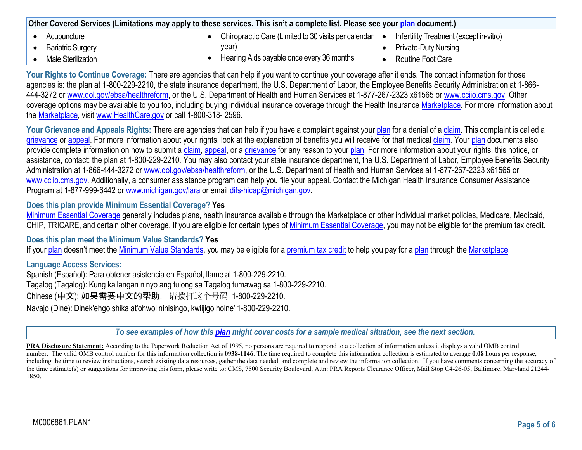| Other Covered Services (Limitations may apply to these services. This isn't a complete list. Please see your plan document.) |                                                      |                                         |
|------------------------------------------------------------------------------------------------------------------------------|------------------------------------------------------|-----------------------------------------|
| Acupuncture                                                                                                                  | Chiropractic Care (Limited to 30 visits per calendar | Infertility Treatment (except in-vitro) |
| <b>Bariatric Surgery</b>                                                                                                     | year)                                                | <b>Private-Duty Nursing</b>             |
| Male Sterilization                                                                                                           | Hearing Aids payable once every 36 months            | Routine Foot Care                       |

**Your Rights to Continue Coverage:** There are agencies that can help if you want to continue your coverage after it ends. The contact information for those agencies is: the plan at 1-800-229-2210, the state insurance department, the U.S. Department of Labor, the Employee Benefits Security Administration at 1-866-444-3272 or [www.dol.gov/ebsa/healthreform, o](http://www.dol.gov/ebsa/healthreform)r the U.S. Department of Health and Human Services at 1-877-267-2323 x61565 or [www.cciio.cms.gov. O](http://www.cciio.cms.gov/)ther coverage options may be available to you too, including buying individual insurance coverage through the Health Insurance Marketplace. For more information about the Marketplace, visit [www.HealthCare.gov](http://www.healthcare.gov/) or call 1-800-318- 2596.

Your Grievance and Appeals Rights: There are agencies that can help if you have a complaint against your plan for a denial of a claim. This complaint is called a grievance or appeal. For more information about your rights, look at the explanation of benefits you will receive for that medical claim. Your plan documents also provide complete information on how to submit a claim, appeal, or a grievance for any reason to your plan. For more information about your rights, this notice, or assistance, contact: the plan at 1-800-229-2210. You may also contact your state insurance department, the U.S. Department of Labor, Employee Benefits Security Administration at 1-866-444-3272 or [www.dol.gov/ebsa/healthreform, or](http://www.dol.gov/ebsa/healthreform) the U.S. Department of Health and Human Services at 1-877-267-2323 x61565 or [www.cciio.cms.gov. A](http://www.cciio.cms.gov/)dditionally, a consumer assistance program can help you file your appeal. Contact the Michigan Health Insurance Consumer Assistance Program at 1-877-999-6442 or [www.michigan.gov/lara](http://www.michigan.gov/lara) or email difs-hicap@michigan.gov.

### **Does this plan provide Minimum Essential Coverage? Yes**

Minimum Essential Coverage generally includes plans, health insurance available through the Marketplace or other individual market policies, Medicare, Medicaid, CHIP, TRICARE, and certain other coverage. If you are eligible for certain types of Minimum Essential Coverage, you may not be eligible for the premium tax credit.

### **Does this plan meet the Minimum Value Standards? Yes**

If your plan doesn't meet the Minimum Value Standards, you may be eligible for a premium tax credit to help you pay for a plan through the Marketplace.

### **Language Access Services:**

Spanish (Español): Para obtener asistencia en Español, llame al 1-800-229-2210. Tagalog (Tagalog): Kung kailangan ninyo ang tulong sa Tagalog tumawag sa 1-800-229-2210. Chinese (中文): 如果需要中文的帮助,请拨打这个号码 1-800-229-2210. Navajo (Dine): Dinek'ehgo shika at'ohwol ninisingo, kwiijigo holne' 1-800-229-2210.

*To see examples of how this [plan](https://www.healthcare.gov/sbc-glossary/#plan) might cover costs for a sample medical situation, see the next section.*

**PRA Disclosure Statement:** According to the Paperwork Reduction Act of 1995, no persons are required to respond to a collection of information unless it displays a valid OMB control number. The valid OMB control number for this information collection is **0938-1146**. The time required to complete this information collection is estimated to average **0.08** hours per response, including the time to review instructions, search existing data resources, gather the data needed, and complete and review the information collection. If you have comments concerning the accuracy of the time estimate(s) or suggestions for improving this form, please write to: CMS, 7500 Security Boulevard, Attn: PRA Reports Clearance Officer, Mail Stop C4-26-05, Baltimore, Maryland 21244-1850.